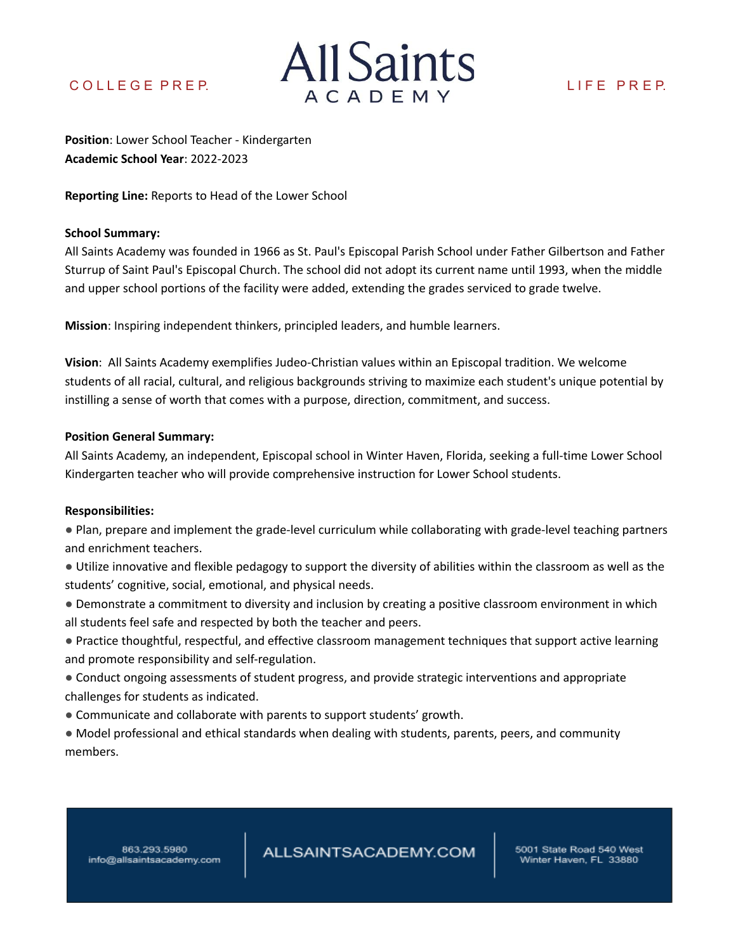

**Position**: Lower School Teacher - Kindergarten **Academic School Year**: 2022-2023

**Reporting Line:** Reports to Head of the Lower School

# **School Summary:**

All Saints Academy was founded in 1966 as St. Paul's Episcopal Parish School under Father Gilbertson and Father Sturrup of Saint Paul's Episcopal Church. The school did not adopt its current name until 1993, when the middle and upper school portions of the facility were added, extending the grades serviced to grade twelve.

**Mission**: Inspiring independent thinkers, principled leaders, and humble learners.

**Vision**: All Saints Academy exemplifies Judeo-Christian values within an Episcopal tradition. We welcome students of all racial, cultural, and religious backgrounds striving to maximize each student's unique potential by instilling a sense of worth that comes with a purpose, direction, commitment, and success.

# **Position General Summary:**

All Saints Academy, an independent, Episcopal school in Winter Haven, Florida, seeking a full-time Lower School Kindergarten teacher who will provide comprehensive instruction for Lower School students.

## **Responsibilities:**

● Plan, prepare and implement the grade-level curriculum while collaborating with grade-level teaching partners and enrichment teachers.

- Utilize innovative and flexible pedagogy to support the diversity of abilities within the classroom as well as the students' cognitive, social, emotional, and physical needs.
- Demonstrate a commitment to diversity and inclusion by creating a positive classroom environment in which all students feel safe and respected by both the teacher and peers.
- Practice thoughtful, respectful, and effective classroom management techniques that support active learning and promote responsibility and self-regulation.
- Conduct ongoing assessments of student progress, and provide strategic interventions and appropriate challenges for students as indicated.
- Communicate and collaborate with parents to support students' growth.
- Model professional and ethical standards when dealing with students, parents, peers, and community members.

863.293.5980 info@allsaintsacademy.com ALLSAINTSACADEMY.COM

5001 State Road 540 West Winter Haven, FL 33880